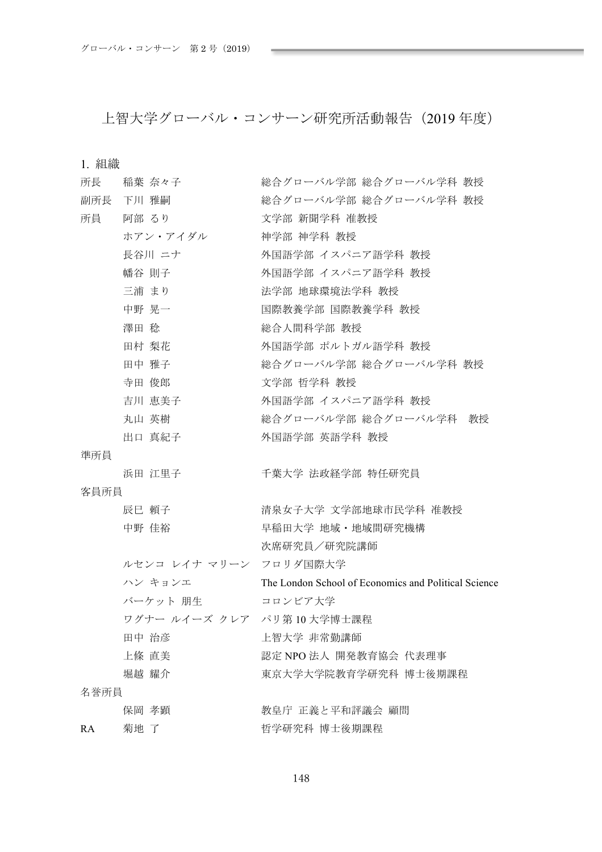上智大学グローバル・コンサーン研究所活動報告 (2019年度)

| 所長   | 稲葉 奈々子                    | 総合グローバル学部 総合グローバル学科 教授                               |
|------|---------------------------|------------------------------------------------------|
|      | 副所長 下川 雅嗣                 | 総合グローバル学部 総合グローバル学科 教授                               |
| 所員   | 阿部 るり                     | 文学部 新聞学科 准教授                                         |
|      | ホアン・アイダル                  | 神学部 神学科 教授                                           |
|      | 長谷川 ニナ                    | 外国語学部 イスパニア語学科 教授                                    |
|      | 幡谷 則子                     | 外国語学部 イスパニア語学科 教授                                    |
|      | 三浦 まり                     | 法学部 地球環境法学科 教授                                       |
|      | 中野 晃一                     | 国際教養学部 国際教養学科 教授                                     |
|      | 澤田 稔                      | 総合人間科学部 教授                                           |
|      | 田村 梨花                     | 外国語学部 ポルトガル語学科 教授                                    |
|      | 田中 雅子                     | 総合グローバル学部 総合グローバル学科 教授                               |
|      | 寺田 俊郎                     | 文学部 哲学科 教授                                           |
|      | 吉川 恵美子                    | 外国語学部 イスパニア語学科 教授                                    |
|      | 丸山 英樹                     | 総合グローバル学部 総合グローバル学科 教授                               |
|      | 出口 真紀子                    | 外国語学部 英語学科 教授                                        |
| 準所員  |                           |                                                      |
|      | 浜田 江里子                    | 千葉大学 法政経学部 特任研究員                                     |
| 客員所員 |                           |                                                      |
|      | 辰巳 頼子                     | 清泉女子大学 文学部地球市民学科 准教授                                 |
|      | 中野 佳裕                     | 早稲田大学 地域・地域間研究機構                                     |
|      |                           | 次席研究員/研究院講師                                          |
|      | ルセンコ レイナ マリーン フロリダ国際大学    |                                                      |
|      | ハン キョンエ                   | The London School of Economics and Political Science |
|      | バーケット 朋生                  | コロンビア大学                                              |
|      | ワグナー ルイーズ クレア パリ第10大学博士課程 |                                                      |
|      | 田中 治彦                     | 上智大学 非常勤講師                                           |
|      | 上條 直美                     | 認定 NPO 法人 開発教育協会 代表理事                                |
|      | 堀越 耀介                     | 東京大学大学院教育学研究科 博士後期課程                                 |
| 名誉所員 |                           |                                                      |
|      | 保岡 孝顕                     | 教皇庁 正義と平和評議会 顧問                                      |
| RA   | 菊地 了                      | 哲学研究科 博士後期課程                                         |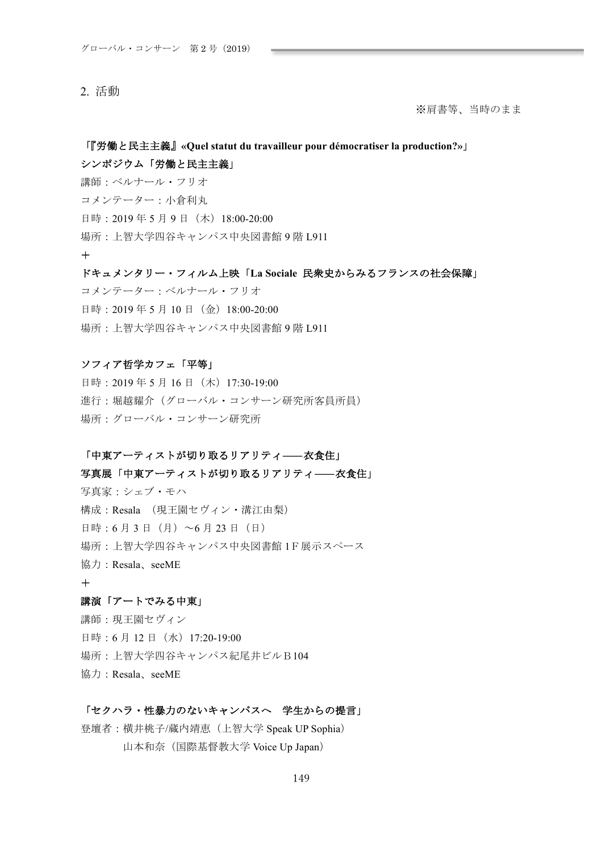## 2. 活動

※肩書等、当時のまま

# 「『労働と民主主義』«Quel statut du travailleur pour démocratiser la production?»」 シンポジウム「労働と民主主義」

講師:ベルナール・フリオ コメンテーター:小倉利丸 日時: 2019年5月9日 (木) 18:00-20:00 場所: 上智大学四谷キャンパス中央図書館9階 L911  $+$ 

# ドキュメンタリー・フィルム上映「La Sociale 民衆史からみるフランスの社会保障」 コメンテーター:ベルナール・フリオ

日時: 2019年5月10日 (金) 18:00-20:00 場所: 上智大学四谷キャンパス中央図書館9階 L911

## ソフィア哲学カフェ「平等」

日時: 2019年5月16日 (木) 17:30-19:00 進行:堀越耀介 (グローバル・コンサーン研究所客員所員) 場所:グローバル・コンサーン研究所

## 「中東アーティストが切り取るリアリティ––夜食住」

## 写真展「中東アーティストが切り取るリアリティ––衣食住」

写真家: シェブ・モハ 構成: Resala (現王園セヴィン·溝江由梨) 日時: 6 月 3 日 (月) ~6 月 23 日 (日) 場所: 上智大学四谷キャンパス中央図書館 1F展示スペース 協力: Resala、seeME  $+$ 

## 講演「アートでみる中東」

講師:現王園セヴィン 日時: 6月12日 (水) 17:20-19:00 場所: 上智大学四谷キャンパス紀尾井ビルB104 協力: Resala、seeME

## 「セクハラ・性暴力のないキャンパスへ 学生からの提言」

登壇者: 横井桃子/蔵内靖恵 (上智大学 Speak UP Sophia) 山本和奈 (国際基督教大学 Voice Up Japan)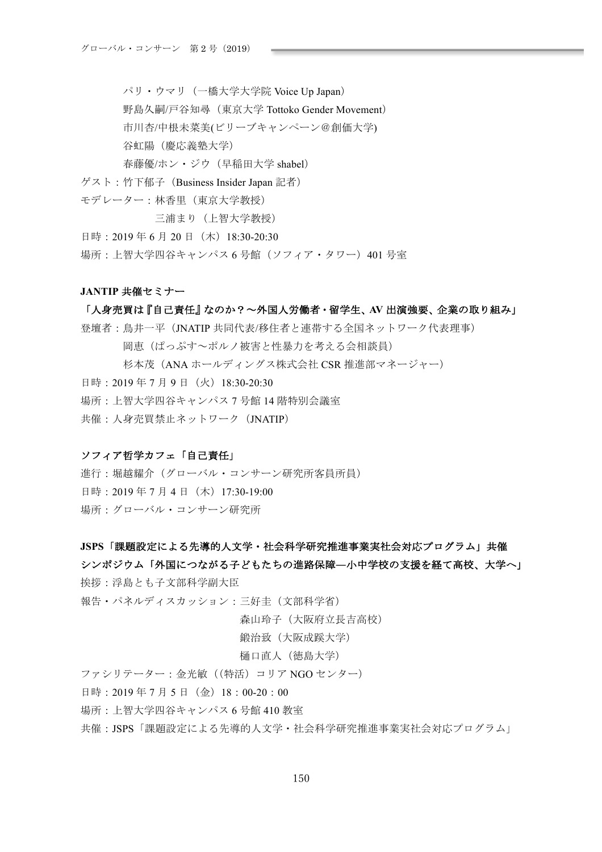パリ・ウマリ (一橋大学大学院 Voice Up Japan)

野島久嗣/戸谷知尋 (東京大学 Tottoko Gender Movement)

市川杏/中根未菜美(ビリーブキャンペーン@創価大学)

谷虹陽 (慶応義塾大学)

春藤優/ホン・ジウ (早稲田大学 shabel)

- ゲスト: 竹下郁子 (Business Insider Japan 記者)
- モデレーター:林香里(東京大学教授)

三浦まり (上智大学教授)

日時: 2019年6月20日 (木) 18:30-20:30

場所: 上智大学四谷キャンパス6号館 (ソフィア・タワー) 401 号室

#### JANTIP 共催セミナー

## 「人身売買は『自己責任』なのか?~外国人労働者·留学生、AV 出演強要、企業の取り組み」

登壇者:鳥井一平 (JNATIP 共同代表/移住者と連帯する全国ネットワーク代表理事) 岡恵(ぱっぷす~ポルノ被害と性暴力を考える会相談員) 杉本茂 (ANA ホールディングス株式会社 CSR 推進部マネージャー) 日時: 2019年7月9日 (火) 18:30-20:30 場所: ト智大学四谷キャンパス7号館14 階特別会議室 共催: 人身売買禁止ネットワーク (JNATIP)

## ソフィア哲学カフェ「自己責任」

進行:堀越耀介 (グローバル・コンサーン研究所客員所員) 日時: 2019年7月4日 (木) 17:30-19:00 場所:グローバル・コンサーン研究所

## JSPS「課題設定による先導的人文学·社会科学研究推進事業実社会対応プログラム」共催

# シンポジウム「外国につながる子どもたちの進路保障—小中学校の支援を経て高校、大学へ」

**挨拶・浮鳥とも子文部科学副大臣** 

報告・パネルディスカッション:三好圭(文部科学省)

森山玲子(大阪府立長吉高校)

鍛治致 (大阪成蹊大学)

#### 樋口直人 (徳島大学)

ファシリテーター:金光敏 ((特活) コリア NGO センター)

日時: 2019年7月5日 (金) 18:00-20:00

場所: ト智大学四谷キャンパス6号館410 教室

共催: JSPS「課題設定による先導的人文学・社会科学研究推進事業実社会対応プログラム」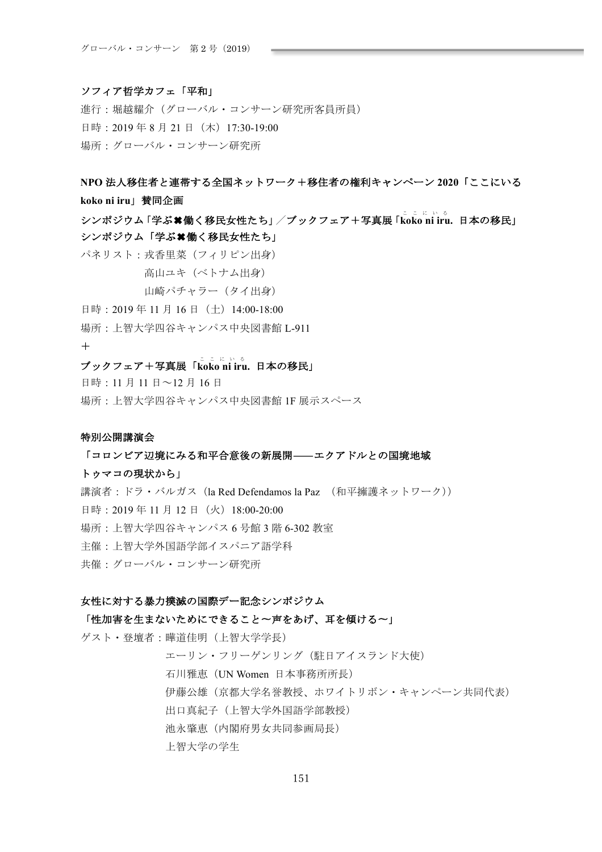## ソフィア哲学カフェ「平和」

進行:堀越耀介 (グローバル・コンサーン研究所客員所員) 日時: 2019年8月21日 (木) 17:30-19:00 場所:グローバル・コンサーン研究所

- NPO 法人移住者と連帯する全国ネットワーク+移住者の権利キャンペーン 2020「ここにいる **koko ni iru**| 賛同企画
- シンポジウム「学ぶ★働く移民女性たち」/ブックフェア+写真展「koko ni iru. 日本の移民」 シンポジウム「学ぶ\*働く移民女性たち」

パネリスト:戎香里菜 (フィリピン出身)

高山ユキ (ベトナム出身)

山崎パチャラー (タイ出身)

- 日時: 2019年11月16日 (土) 14:00-18:00
- 場所: 上智大学四谷キャンパス中央図書館 L-911

#### $+$

# プックフェア+写真展「koko ni iru. 日本の移民」

日時: 11 月 11 日~12 月 16 日

場所: 上智大学四谷キャンパス中央図書館 1F 展示スペース

## 特別公開講演会

### 「コロンビア辺境にみる和平合意後の新展開––エクアドルとの国境地域

#### トゥマコの現状から」

講演者:ドラ・バルガス (la Red Defendamos la Paz (和平擁護ネットワーク)) 日時: 2019年11月12日 (火) 18:00-20:00 場所: 上智大学四谷キャンパス6号館3階6-302 教室 主催:上智大学外国語学部イスパニア語学科 共催:グローバル・コンサーン研究所

## 女性に対する暴力撲滅の国際デー記念シンポジウム

## 「性加害を生まないためにできること~声をあげ、耳を傾ける~」

ゲスト・登壇者: 曄道佳明 (上智大学学長)

エーリン・フリーゲンリング (駐日アイスランド大使) 石川雅恵 (UN Women 日本事務所所長) 伊藤公雄(京都大学名誉教授、ホワイトリボン・キャンペーン共同代表) 出口真紀子 (上智大学外国語学部教授) 池永肇恵 (内閣府男女共同参画局長) 上智大学の学生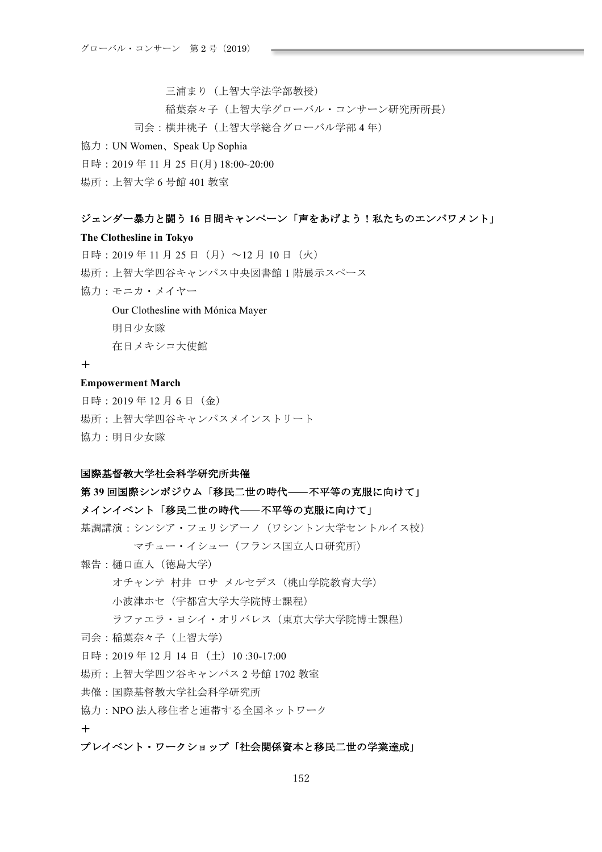三浦まり (上智大学法学部教授) 稲葉奈々子 (上智大学グローバル・コンサーン研究所所長) 司会:横井桃子 (上智大学総合グローバル学部4年)

## 協力: UN Women、Speak Up Sophia

日時: 2019年11月25日(月) 18:00~20:00

場所: 上智大学 6 号館 401 教室

## ジェンダー暴力と闘う16日間キャンペーン「声をあげよう!私たちのエンパワメント」

## **The Clothesline in Tokyo**

日時: 2019年11月25日 (月) ~12月10日 (火) 場所:上智大学四谷キャンパス中央図書館1階展示スペース 協力: モニカ・メイヤー

## Our Clothesline with Mónica Mayer

明日少女隊

在日メキシコ大使館

## $+$

## **Empowerment March**

日時: 2019年12月6日 (金) 場所: 上智大学四谷キャンパスメインストリート 協力: 明日少女隊

## 国際基督教大学社会科学研究所共催

# 第39回国際シンポジウム「移民二世の時代––不平等の克服に向けて」

# $\overline{X}$ <br> *入インイベント「*移民二世の時代–––不平等の克服に向けて」

基調講演:シンシア·フェリシアーノ (ワシントン大学セントルイス校)

マチュー·イシュー (フランス国立人口研究所)

- 報告: 樋口直人 (徳島大学)
	- オチャンテ 村井 ロサ メルセデス (桃山学院教育大学)
	- 小波津ホセ (宇都宮大学大学院博士課程)
	- ラファエラ·ヨシイ·オリバレス(東京大学大学院博士課程)
- 司会: 稲葉奈々子 (上智大学)
- 日時: 2019年12月14日 (十) 10:30-17:00
- 場所: 上智大学四ツ谷キャンパス2号館1702 教室
- 共催: 国際基督教大学社会科学研究所
- 協力:NPO法人移住者と連帯する全国ネットワーク

## $+$

## プレイベント・ワークショップ「社会関係資本と移民二世の学業達成」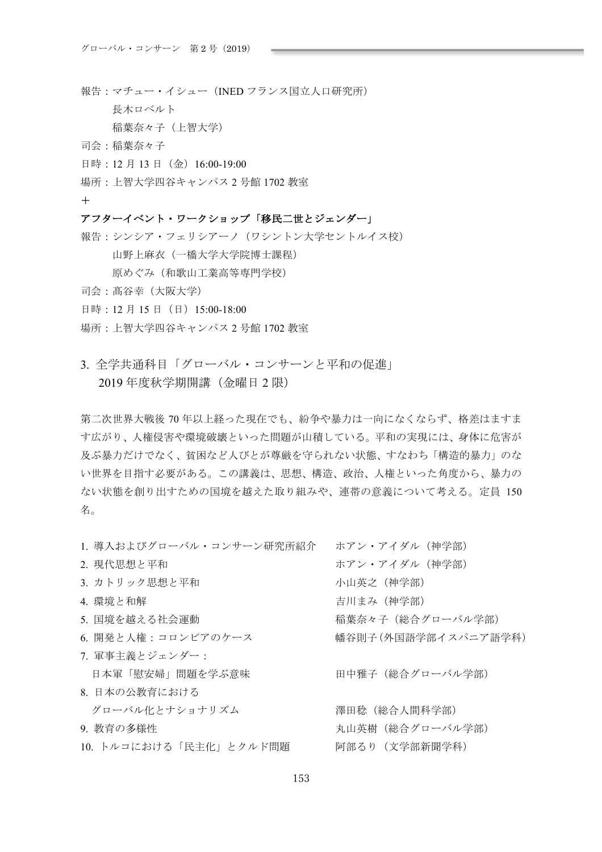- 報告:マチュー·イシュー (INED フランス国立人口研究所)
	- 長木ロベルト

稲葉奈々子 (上智大学)

- 司会: 稲葉奈々子
- 日時: 12 月 13 日 (金) 16:00-19:00
- 場所: 上智大学四谷キャンパス2号館1702 教室

## $+$

## アフターイベント・ワークショップ「移民二世とジェンダー」

報告:シンシア・フェリシアーノ (ワシントン大学セントルイス校)

山野上麻衣 (一橋大学大学院博士課程)

- 原めぐみ (和歌山工業高等専門学校)
- 司会: 髙谷幸 (大阪大学)
- 日時: 12月15日 (日) 15:00-18:00
- 場所: 上智大学四谷キャンパス2号館1702 教室
- 3. 全学共通科目「グローバル・コンサーンと平和の促進」 2019年度秋学期開講 (金曜日2限)

第二次世界大戦後70年以上経った現在でも、紛争や暴力は一向になくならず、格差はますま す広がり、人権侵害や環境破壊といった問題が山積している。平和の実現には、身体に危害が 及ぶ暴力だけでなく、貧困など人びとが尊厳を守られない状態、すなわち「構造的暴力」のな い世界を目指す必要がある。この講義は、思想、構造、政治、人権といった角度から、暴力の ない状態を創り出すための国境を越えた取り組みや、連帯の意義について考える。定員 150 名。

| 1. 導入およびグローバル・コンサーン研究所紹介 | ホアン・アイダル (神学部)      |
|--------------------------|---------------------|
| 2. 現代思想と平和               | ホアン・アイダル (神学部)      |
| 3. カトリック思想と平和            | 小山英之 (神学部)          |
| 4. 環境と和解                 | 吉川まみ(神学部)           |
| 5. 国境を越える社会運動            | 稲葉奈々子(総合グローバル学部)    |
| 6. 開発と人権:コロンビアのケース       | 幡谷則子(外国語学部イスパニア語学科) |
| 7. 軍事主義とジェンダー:           |                     |
| 日本軍「慰安婦」問題を学ぶ意味          | 田中雅子(総合グローバル学部)     |
| 8. 日本の公教育における            |                     |
| グローバル化とナショナリズム           | 澤田稔 (総合人間科学部)       |
| 9. 教育の多様性                | 丸山英樹 (総合グローバル学部)    |
| 10. トルコにおける「民主化」とクルド問題   | 阿部るり(文学部新聞学科)       |
|                          |                     |